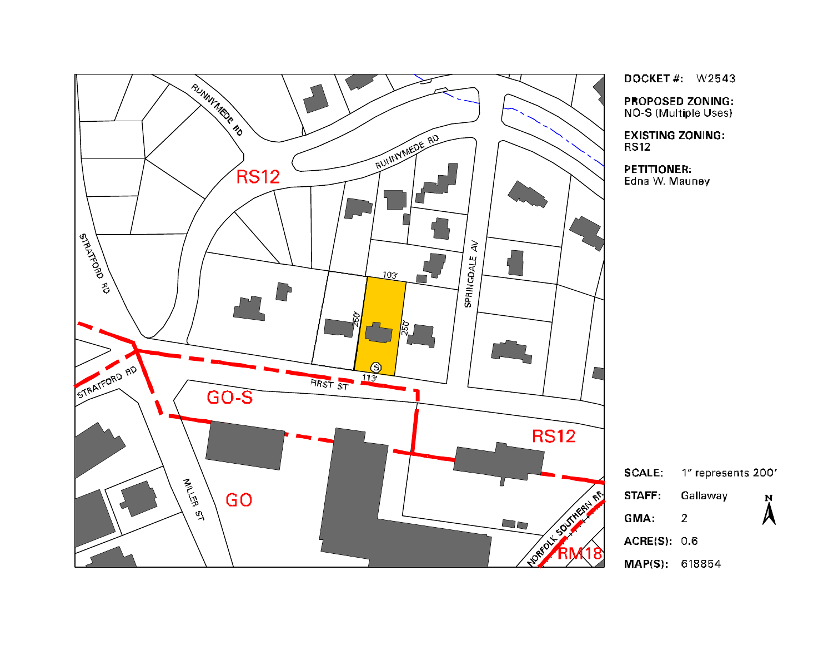

DOCKET#:  $W2543$ 

**PROPOSED ZONING:** NO-S (Multiple Uses)

**EXISTING ZONING: RS12** 

**PETITIONER:** Edna W. Mauney

| <b>SCALE:</b>       | 1" represents 200' |                    |
|---------------------|--------------------|--------------------|
| STAFF:              | Gallaway           | Ņ                  |
| GMA:                | 2                  | $\boldsymbol{\mu}$ |
| <b>ACRE(S): 0.6</b> |                    |                    |
| MAP(S): 618854      |                    |                    |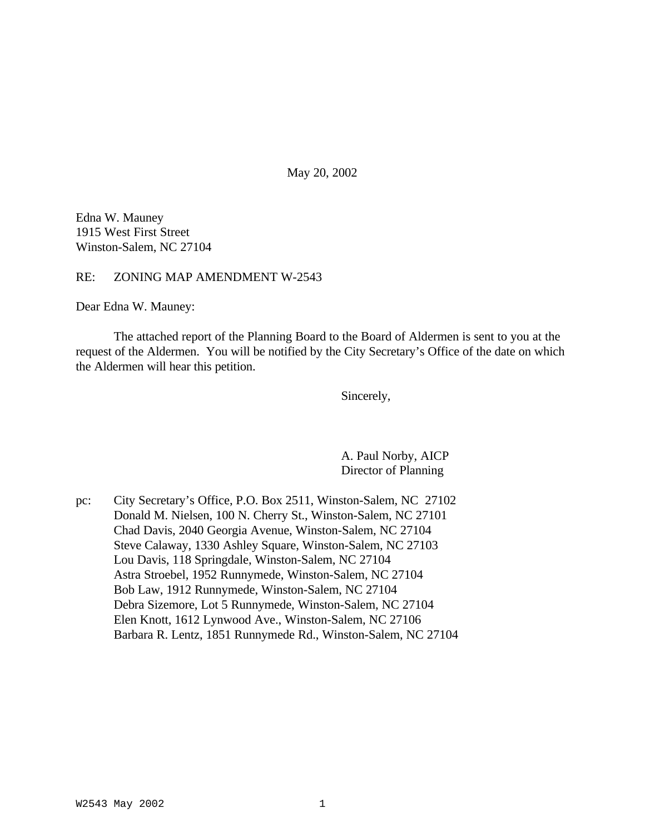May 20, 2002

Edna W. Mauney 1915 West First Street Winston-Salem, NC 27104

RE: ZONING MAP AMENDMENT W-2543

Dear Edna W. Mauney:

The attached report of the Planning Board to the Board of Aldermen is sent to you at the request of the Aldermen. You will be notified by the City Secretary's Office of the date on which the Aldermen will hear this petition.

Sincerely,

A. Paul Norby, AICP Director of Planning

pc: City Secretary's Office, P.O. Box 2511, Winston-Salem, NC 27102 Donald M. Nielsen, 100 N. Cherry St., Winston-Salem, NC 27101 Chad Davis, 2040 Georgia Avenue, Winston-Salem, NC 27104 Steve Calaway, 1330 Ashley Square, Winston-Salem, NC 27103 Lou Davis, 118 Springdale, Winston-Salem, NC 27104 Astra Stroebel, 1952 Runnymede, Winston-Salem, NC 27104 Bob Law, 1912 Runnymede, Winston-Salem, NC 27104 Debra Sizemore, Lot 5 Runnymede, Winston-Salem, NC 27104 Elen Knott, 1612 Lynwood Ave., Winston-Salem, NC 27106 Barbara R. Lentz, 1851 Runnymede Rd., Winston-Salem, NC 27104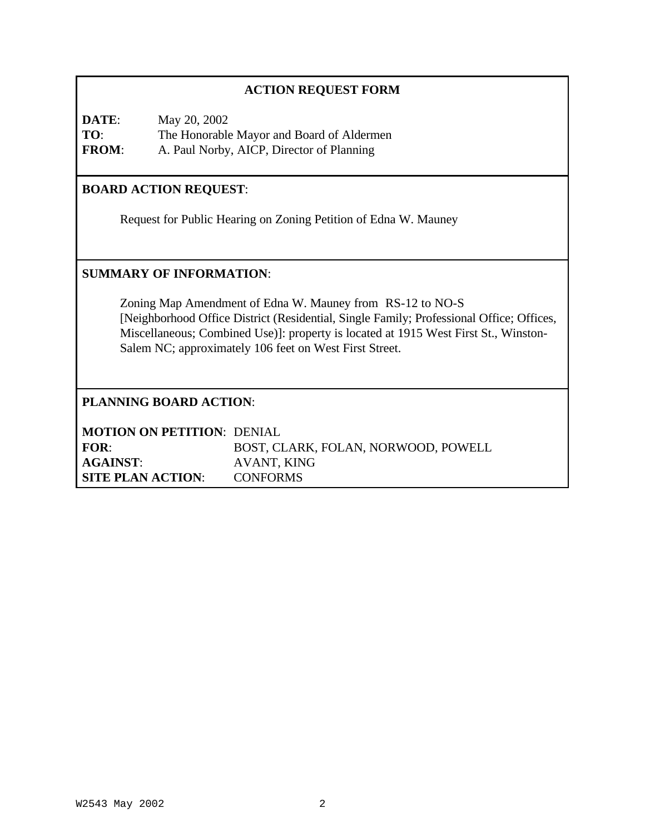| <b>ACTION REQUEST FORM</b>                                                                                                                                                                                                                                                                             |                                   |                                           |  |
|--------------------------------------------------------------------------------------------------------------------------------------------------------------------------------------------------------------------------------------------------------------------------------------------------------|-----------------------------------|-------------------------------------------|--|
| DATE:                                                                                                                                                                                                                                                                                                  | May 20, 2002                      |                                           |  |
| TO:                                                                                                                                                                                                                                                                                                    |                                   | The Honorable Mayor and Board of Aldermen |  |
| <b>FROM:</b>                                                                                                                                                                                                                                                                                           |                                   | A. Paul Norby, AICP, Director of Planning |  |
| <b>BOARD ACTION REQUEST:</b>                                                                                                                                                                                                                                                                           |                                   |                                           |  |
| Request for Public Hearing on Zoning Petition of Edna W. Mauney                                                                                                                                                                                                                                        |                                   |                                           |  |
| <b>SUMMARY OF INFORMATION:</b>                                                                                                                                                                                                                                                                         |                                   |                                           |  |
| Zoning Map Amendment of Edna W. Mauney from RS-12 to NO-S<br>[Neighborhood Office District (Residential, Single Family; Professional Office; Offices,<br>Miscellaneous; Combined Use)]: property is located at 1915 West First St., Winston-<br>Salem NC; approximately 106 feet on West First Street. |                                   |                                           |  |
| <b>PLANNING BOARD ACTION:</b>                                                                                                                                                                                                                                                                          |                                   |                                           |  |
|                                                                                                                                                                                                                                                                                                        | <b>MOTION ON PETITION: DENIAL</b> |                                           |  |
| FOR:                                                                                                                                                                                                                                                                                                   |                                   | BOST, CLARK, FOLAN, NORWOOD, POWELL       |  |
| <b>AGAINST:</b>                                                                                                                                                                                                                                                                                        |                                   | AVANT, KING                               |  |
|                                                                                                                                                                                                                                                                                                        | <b>SITE PLAN ACTION:</b>          | <b>CONFORMS</b>                           |  |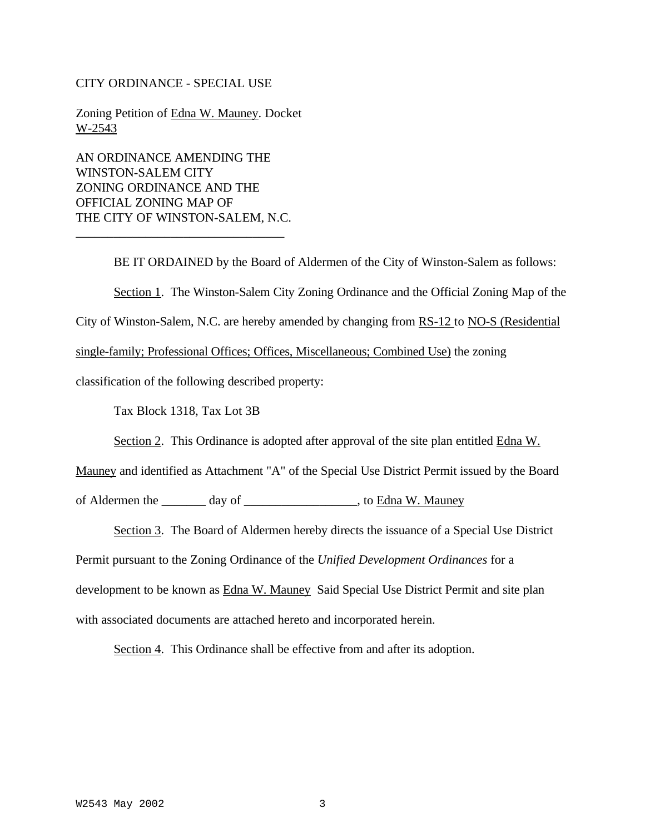### CITY ORDINANCE - SPECIAL USE

Zoning Petition of Edna W. Mauney. Docket W-2543

AN ORDINANCE AMENDING THE WINSTON-SALEM CITY ZONING ORDINANCE AND THE OFFICIAL ZONING MAP OF THE CITY OF WINSTON-SALEM, N.C.

\_\_\_\_\_\_\_\_\_\_\_\_\_\_\_\_\_\_\_\_\_\_\_\_\_\_\_\_\_\_\_\_\_

BE IT ORDAINED by the Board of Aldermen of the City of Winston-Salem as follows: Section 1. The Winston-Salem City Zoning Ordinance and the Official Zoning Map of the City of Winston-Salem, N.C. are hereby amended by changing from RS-12 to NO-S (Residential single-family; Professional Offices; Offices, Miscellaneous; Combined Use) the zoning classification of the following described property:

Tax Block 1318, Tax Lot 3B

Section 2. This Ordinance is adopted after approval of the site plan entitled Edna W.

Mauney and identified as Attachment "A" of the Special Use District Permit issued by the Board

of Aldermen the \_\_\_\_\_\_\_ day of \_\_\_\_\_\_\_\_\_\_\_\_\_\_\_\_\_\_\_, to Edna W. Mauney

Section 3. The Board of Aldermen hereby directs the issuance of a Special Use District Permit pursuant to the Zoning Ordinance of the *Unified Development Ordinances* for a development to be known as Edna W. Mauney Said Special Use District Permit and site plan with associated documents are attached hereto and incorporated herein.

Section 4. This Ordinance shall be effective from and after its adoption.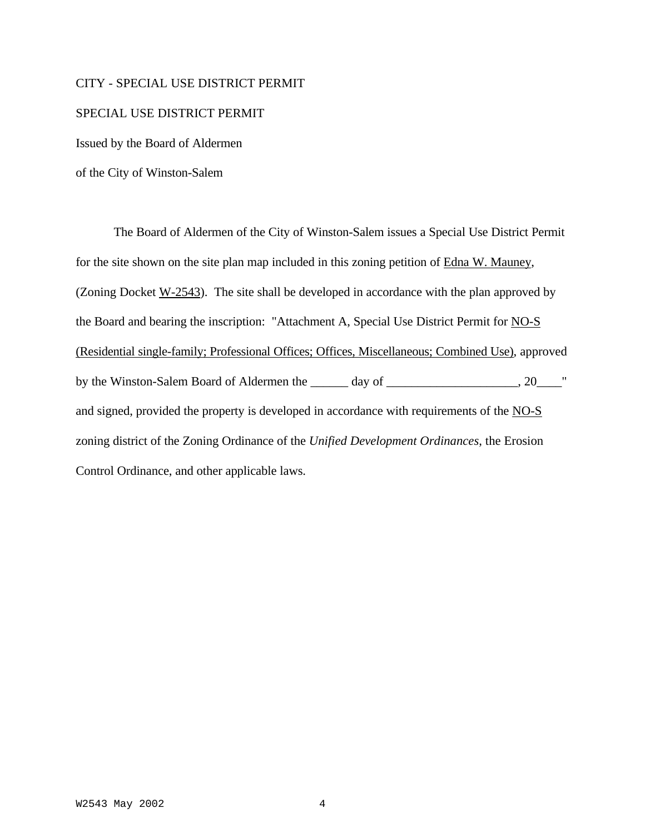#### CITY - SPECIAL USE DISTRICT PERMIT

#### SPECIAL USE DISTRICT PERMIT

Issued by the Board of Aldermen

of the City of Winston-Salem

The Board of Aldermen of the City of Winston-Salem issues a Special Use District Permit for the site shown on the site plan map included in this zoning petition of Edna W. Mauney, (Zoning Docket W-2543). The site shall be developed in accordance with the plan approved by the Board and bearing the inscription: "Attachment A, Special Use District Permit for NO-S (Residential single-family; Professional Offices; Offices, Miscellaneous; Combined Use), approved by the Winston-Salem Board of Aldermen the \_\_\_\_\_\_ day of \_\_\_\_\_\_\_\_\_\_\_\_\_\_\_\_\_, 20\_\_\_\_" and signed, provided the property is developed in accordance with requirements of the NO-S zoning district of the Zoning Ordinance of the *Unified Development Ordinances*, the Erosion Control Ordinance, and other applicable laws.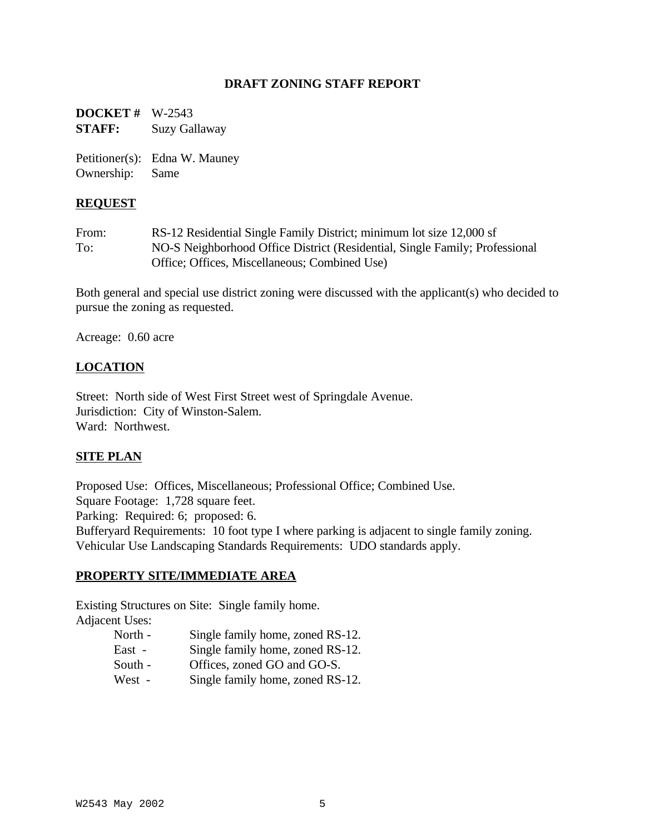## **DRAFT ZONING STAFF REPORT**

**DOCKET #** W-2543 **STAFF:** Suzy Gallaway

Petitioner(s): Edna W. Mauney Ownership: Same

### **REQUEST**

From: RS-12 Residential Single Family District; minimum lot size 12,000 sf To: NO-S Neighborhood Office District (Residential, Single Family; Professional Office; Offices, Miscellaneous; Combined Use)

Both general and special use district zoning were discussed with the applicant(s) who decided to pursue the zoning as requested.

Acreage: 0.60 acre

### **LOCATION**

Street: North side of West First Street west of Springdale Avenue. Jurisdiction: City of Winston-Salem. Ward: Northwest.

### **SITE PLAN**

Proposed Use: Offices, Miscellaneous; Professional Office; Combined Use. Square Footage: 1,728 square feet. Parking: Required: 6; proposed: 6. Bufferyard Requirements: 10 foot type I where parking is adjacent to single family zoning. Vehicular Use Landscaping Standards Requirements: UDO standards apply.

### **PROPERTY SITE/IMMEDIATE AREA**

Existing Structures on Site: Single family home. Adjacent Uses:

- North Single family home, zoned RS-12.
- East Single family home, zoned RS-12.
- South Offices, zoned GO and GO-S.
- West Single family home, zoned RS-12.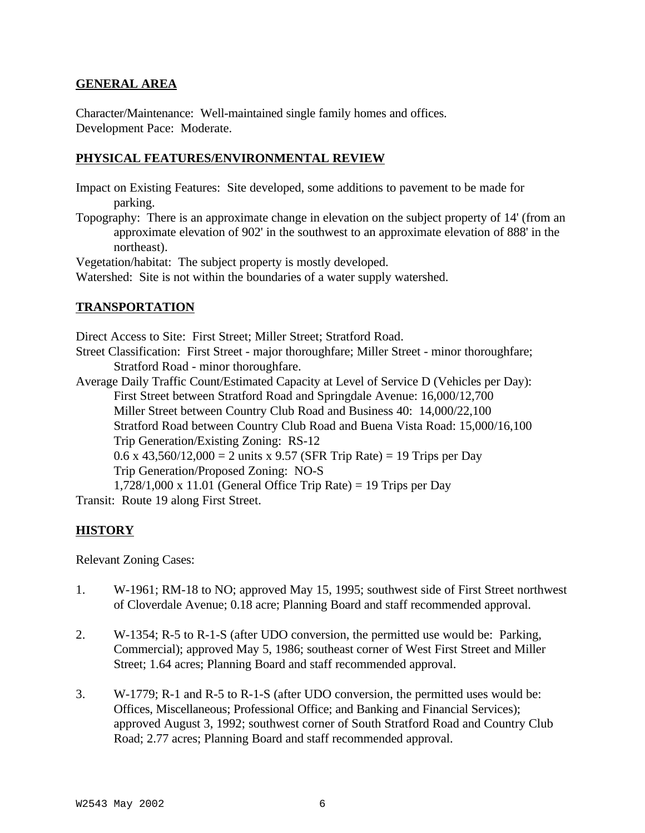## **GENERAL AREA**

Character/Maintenance: Well-maintained single family homes and offices. Development Pace: Moderate.

## **PHYSICAL FEATURES/ENVIRONMENTAL REVIEW**

Impact on Existing Features: Site developed, some additions to pavement to be made for parking.

Topography: There is an approximate change in elevation on the subject property of 14' (from an approximate elevation of 902' in the southwest to an approximate elevation of 888' in the northeast).

Vegetation/habitat: The subject property is mostly developed.

Watershed: Site is not within the boundaries of a water supply watershed.

# **TRANSPORTATION**

Direct Access to Site: First Street; Miller Street; Stratford Road.

Street Classification: First Street - major thoroughfare; Miller Street - minor thoroughfare; Stratford Road - minor thoroughfare.

Average Daily Traffic Count/Estimated Capacity at Level of Service D (Vehicles per Day): First Street between Stratford Road and Springdale Avenue: 16,000/12,700 Miller Street between Country Club Road and Business 40: 14,000/22,100 Stratford Road between Country Club Road and Buena Vista Road: 15,000/16,100 Trip Generation/Existing Zoning: RS-12 0.6 x 43,560/12,000 = 2 units x 9.57 (SFR Trip Rate) = 19 Trips per Day Trip Generation/Proposed Zoning: NO-S

1,728/1,000 x 11.01 (General Office Trip Rate) = 19 Trips per Day

Transit: Route 19 along First Street.

# **HISTORY**

Relevant Zoning Cases:

- 1. W-1961; RM-18 to NO; approved May 15, 1995; southwest side of First Street northwest of Cloverdale Avenue; 0.18 acre; Planning Board and staff recommended approval.
- 2. W-1354; R-5 to R-1-S (after UDO conversion, the permitted use would be: Parking, Commercial); approved May 5, 1986; southeast corner of West First Street and Miller Street; 1.64 acres; Planning Board and staff recommended approval.
- 3. W-1779; R-1 and R-5 to R-1-S (after UDO conversion, the permitted uses would be: Offices, Miscellaneous; Professional Office; and Banking and Financial Services); approved August 3, 1992; southwest corner of South Stratford Road and Country Club Road; 2.77 acres; Planning Board and staff recommended approval.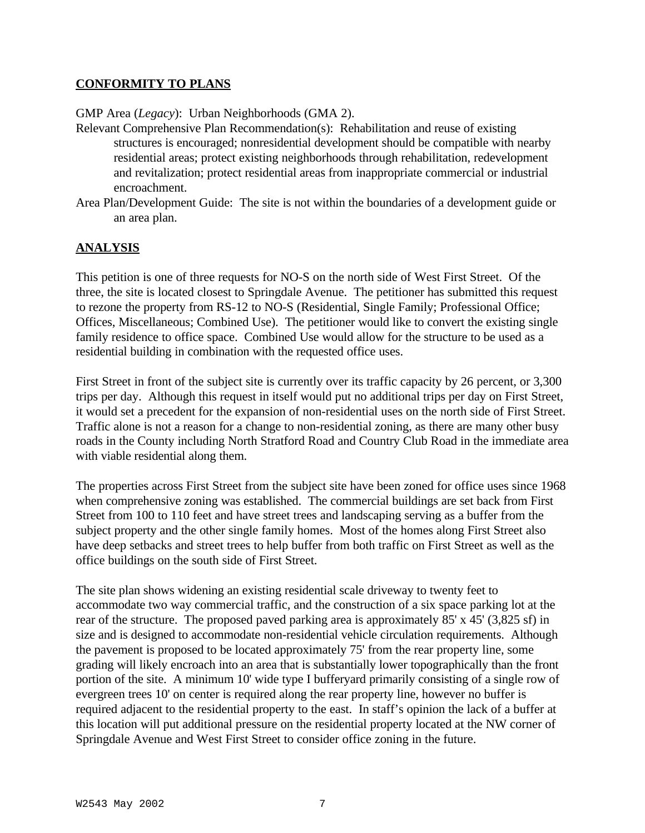## **CONFORMITY TO PLANS**

GMP Area (*Legacy*): Urban Neighborhoods (GMA 2).

- Relevant Comprehensive Plan Recommendation(s): Rehabilitation and reuse of existing structures is encouraged; nonresidential development should be compatible with nearby residential areas; protect existing neighborhoods through rehabilitation, redevelopment and revitalization; protect residential areas from inappropriate commercial or industrial encroachment.
- Area Plan/Development Guide: The site is not within the boundaries of a development guide or an area plan.

# **ANALYSIS**

This petition is one of three requests for NO-S on the north side of West First Street. Of the three, the site is located closest to Springdale Avenue. The petitioner has submitted this request to rezone the property from RS-12 to NO-S (Residential, Single Family; Professional Office; Offices, Miscellaneous; Combined Use). The petitioner would like to convert the existing single family residence to office space. Combined Use would allow for the structure to be used as a residential building in combination with the requested office uses.

First Street in front of the subject site is currently over its traffic capacity by 26 percent, or 3,300 trips per day. Although this request in itself would put no additional trips per day on First Street, it would set a precedent for the expansion of non-residential uses on the north side of First Street. Traffic alone is not a reason for a change to non-residential zoning, as there are many other busy roads in the County including North Stratford Road and Country Club Road in the immediate area with viable residential along them.

The properties across First Street from the subject site have been zoned for office uses since 1968 when comprehensive zoning was established. The commercial buildings are set back from First Street from 100 to 110 feet and have street trees and landscaping serving as a buffer from the subject property and the other single family homes. Most of the homes along First Street also have deep setbacks and street trees to help buffer from both traffic on First Street as well as the office buildings on the south side of First Street.

The site plan shows widening an existing residential scale driveway to twenty feet to accommodate two way commercial traffic, and the construction of a six space parking lot at the rear of the structure. The proposed paved parking area is approximately 85' x 45' (3,825 sf) in size and is designed to accommodate non-residential vehicle circulation requirements. Although the pavement is proposed to be located approximately 75' from the rear property line, some grading will likely encroach into an area that is substantially lower topographically than the front portion of the site. A minimum 10' wide type I bufferyard primarily consisting of a single row of evergreen trees 10' on center is required along the rear property line, however no buffer is required adjacent to the residential property to the east. In staff's opinion the lack of a buffer at this location will put additional pressure on the residential property located at the NW corner of Springdale Avenue and West First Street to consider office zoning in the future.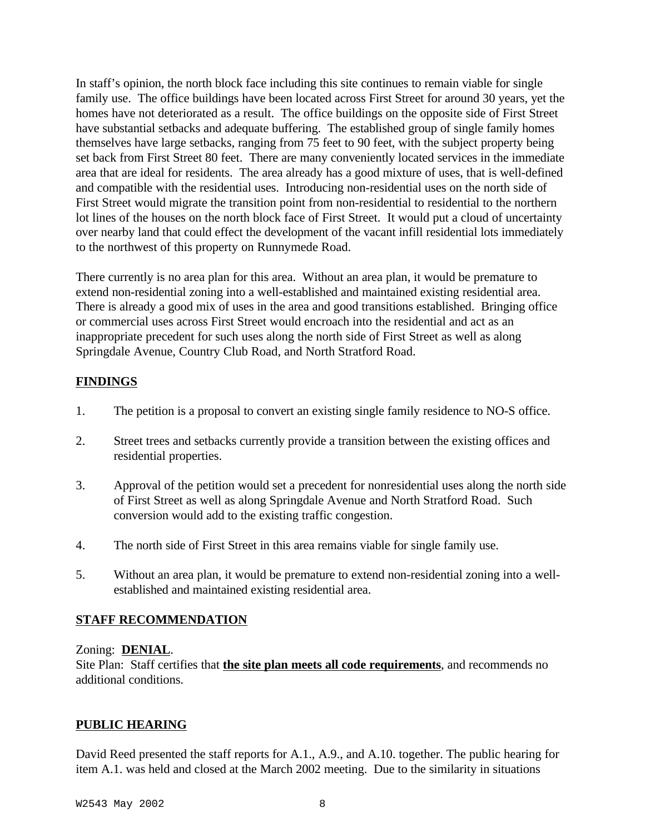In staff's opinion, the north block face including this site continues to remain viable for single family use. The office buildings have been located across First Street for around 30 years, yet the homes have not deteriorated as a result. The office buildings on the opposite side of First Street have substantial setbacks and adequate buffering. The established group of single family homes themselves have large setbacks, ranging from 75 feet to 90 feet, with the subject property being set back from First Street 80 feet. There are many conveniently located services in the immediate area that are ideal for residents. The area already has a good mixture of uses, that is well-defined and compatible with the residential uses. Introducing non-residential uses on the north side of First Street would migrate the transition point from non-residential to residential to the northern lot lines of the houses on the north block face of First Street. It would put a cloud of uncertainty over nearby land that could effect the development of the vacant infill residential lots immediately to the northwest of this property on Runnymede Road.

There currently is no area plan for this area. Without an area plan, it would be premature to extend non-residential zoning into a well-established and maintained existing residential area. There is already a good mix of uses in the area and good transitions established. Bringing office or commercial uses across First Street would encroach into the residential and act as an inappropriate precedent for such uses along the north side of First Street as well as along Springdale Avenue, Country Club Road, and North Stratford Road.

# **FINDINGS**

- 1. The petition is a proposal to convert an existing single family residence to NO-S office.
- 2. Street trees and setbacks currently provide a transition between the existing offices and residential properties.
- 3. Approval of the petition would set a precedent for nonresidential uses along the north side of First Street as well as along Springdale Avenue and North Stratford Road. Such conversion would add to the existing traffic congestion.
- 4. The north side of First Street in this area remains viable for single family use.
- 5. Without an area plan, it would be premature to extend non-residential zoning into a wellestablished and maintained existing residential area.

# **STAFF RECOMMENDATION**

## Zoning: **DENIAL**.

Site Plan: Staff certifies that **the site plan meets all code requirements**, and recommends no additional conditions.

## **PUBLIC HEARING**

David Reed presented the staff reports for A.1., A.9., and A.10. together. The public hearing for item A.1. was held and closed at the March 2002 meeting. Due to the similarity in situations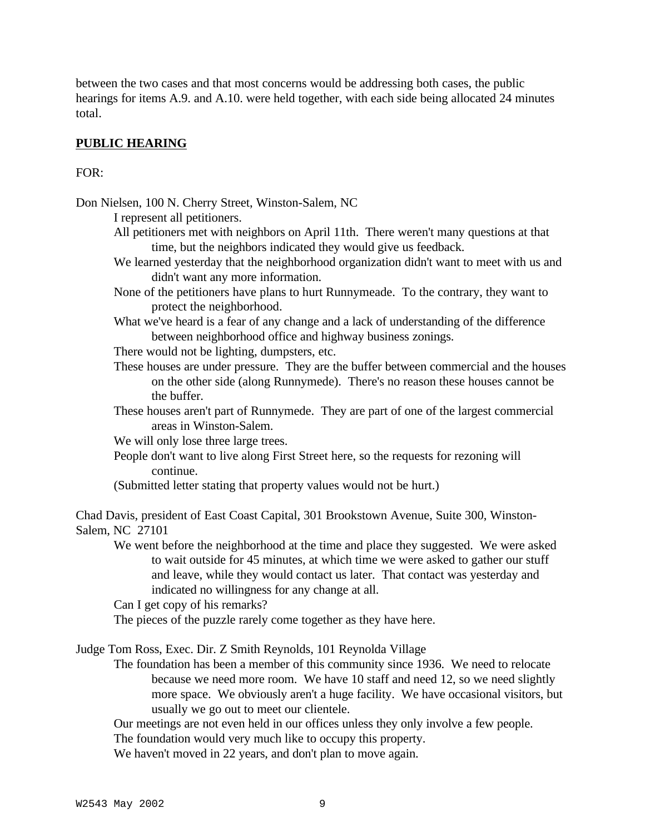between the two cases and that most concerns would be addressing both cases, the public hearings for items A.9. and A.10. were held together, with each side being allocated 24 minutes total.

## **PUBLIC HEARING**

### $FOR:$

Don Nielsen, 100 N. Cherry Street, Winston-Salem, NC

I represent all petitioners.

- All petitioners met with neighbors on April 11th. There weren't many questions at that time, but the neighbors indicated they would give us feedback.
- We learned yesterday that the neighborhood organization didn't want to meet with us and didn't want any more information.
- None of the petitioners have plans to hurt Runnymeade. To the contrary, they want to protect the neighborhood.
- What we've heard is a fear of any change and a lack of understanding of the difference between neighborhood office and highway business zonings.
- There would not be lighting, dumpsters, etc.
- These houses are under pressure. They are the buffer between commercial and the houses on the other side (along Runnymede). There's no reason these houses cannot be the buffer.
- These houses aren't part of Runnymede. They are part of one of the largest commercial areas in Winston-Salem.
- We will only lose three large trees.
- People don't want to live along First Street here, so the requests for rezoning will continue.
- (Submitted letter stating that property values would not be hurt.)

Chad Davis, president of East Coast Capital, 301 Brookstown Avenue, Suite 300, Winston-Salem, NC 27101

We went before the neighborhood at the time and place they suggested. We were asked to wait outside for 45 minutes, at which time we were asked to gather our stuff and leave, while they would contact us later. That contact was yesterday and indicated no willingness for any change at all.

Can I get copy of his remarks?

The pieces of the puzzle rarely come together as they have here.

Judge Tom Ross, Exec. Dir. Z Smith Reynolds, 101 Reynolda Village

The foundation has been a member of this community since 1936. We need to relocate because we need more room. We have 10 staff and need 12, so we need slightly more space. We obviously aren't a huge facility. We have occasional visitors, but usually we go out to meet our clientele.

Our meetings are not even held in our offices unless they only involve a few people.

The foundation would very much like to occupy this property.

We haven't moved in 22 years, and don't plan to move again.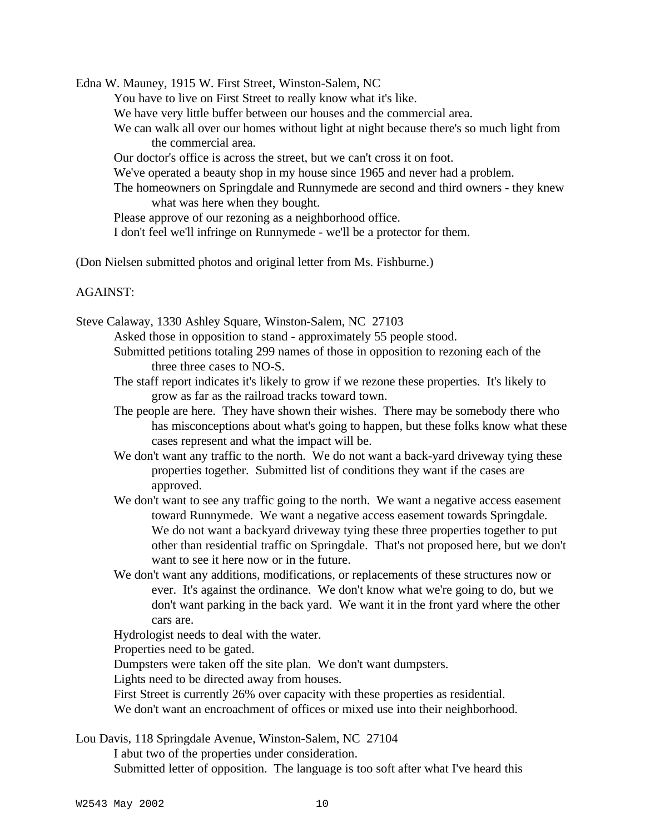Edna W. Mauney, 1915 W. First Street, Winston-Salem, NC

You have to live on First Street to really know what it's like.

We have very little buffer between our houses and the commercial area.

We can walk all over our homes without light at night because there's so much light from the commercial area.

Our doctor's office is across the street, but we can't cross it on foot.

We've operated a beauty shop in my house since 1965 and never had a problem.

The homeowners on Springdale and Runnymede are second and third owners - they knew what was here when they bought.

Please approve of our rezoning as a neighborhood office.

I don't feel we'll infringe on Runnymede - we'll be a protector for them.

(Don Nielsen submitted photos and original letter from Ms. Fishburne.)

## AGAINST:

Steve Calaway, 1330 Ashley Square, Winston-Salem, NC 27103 Asked those in opposition to stand - approximately 55 people stood.

Submitted petitions totaling 299 names of those in opposition to rezoning each of the three three cases to NO-S.

The staff report indicates it's likely to grow if we rezone these properties. It's likely to grow as far as the railroad tracks toward town.

The people are here. They have shown their wishes. There may be somebody there who has misconceptions about what's going to happen, but these folks know what these cases represent and what the impact will be.

We don't want any traffic to the north. We do not want a back-yard driveway tying these properties together. Submitted list of conditions they want if the cases are approved.

We don't want to see any traffic going to the north. We want a negative access easement toward Runnymede. We want a negative access easement towards Springdale. We do not want a backyard driveway tying these three properties together to put other than residential traffic on Springdale. That's not proposed here, but we don't want to see it here now or in the future.

We don't want any additions, modifications, or replacements of these structures now or ever. It's against the ordinance. We don't know what we're going to do, but we don't want parking in the back yard. We want it in the front yard where the other cars are.

Hydrologist needs to deal with the water.

Properties need to be gated.

Dumpsters were taken off the site plan. We don't want dumpsters.

Lights need to be directed away from houses.

First Street is currently 26% over capacity with these properties as residential.

We don't want an encroachment of offices or mixed use into their neighborhood.

Lou Davis, 118 Springdale Avenue, Winston-Salem, NC 27104

I abut two of the properties under consideration.

Submitted letter of opposition. The language is too soft after what I've heard this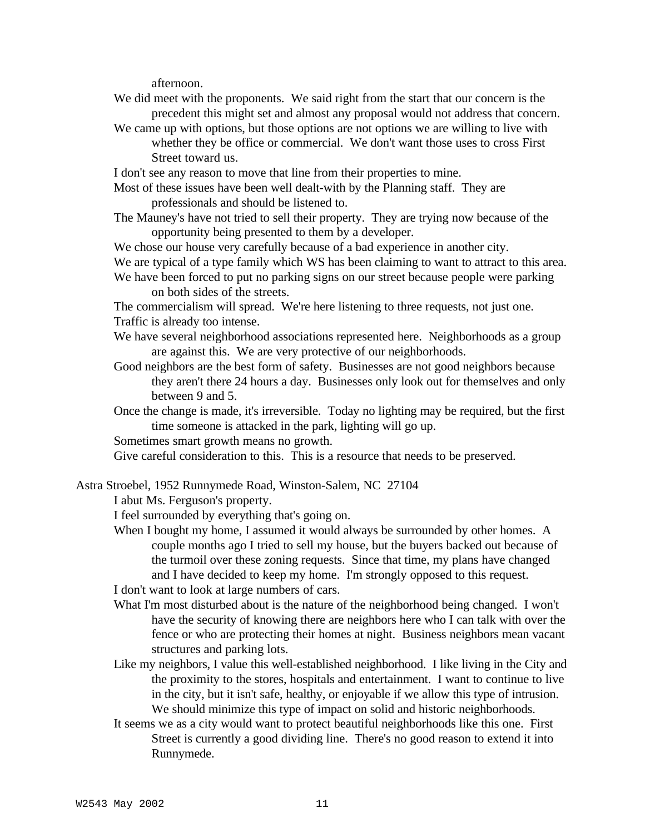afternoon.

- We did meet with the proponents. We said right from the start that our concern is the precedent this might set and almost any proposal would not address that concern.
- We came up with options, but those options are not options we are willing to live with whether they be office or commercial. We don't want those uses to cross First Street toward us.

I don't see any reason to move that line from their properties to mine.

- Most of these issues have been well dealt-with by the Planning staff. They are professionals and should be listened to.
- The Mauney's have not tried to sell their property. They are trying now because of the opportunity being presented to them by a developer.
- We chose our house very carefully because of a bad experience in another city.

We are typical of a type family which WS has been claiming to want to attract to this area.

We have been forced to put no parking signs on our street because people were parking on both sides of the streets.

The commercialism will spread. We're here listening to three requests, not just one. Traffic is already too intense.

- We have several neighborhood associations represented here. Neighborhoods as a group are against this. We are very protective of our neighborhoods.
- Good neighbors are the best form of safety. Businesses are not good neighbors because they aren't there 24 hours a day. Businesses only look out for themselves and only between 9 and 5.
- Once the change is made, it's irreversible. Today no lighting may be required, but the first time someone is attacked in the park, lighting will go up.

Sometimes smart growth means no growth.

Give careful consideration to this. This is a resource that needs to be preserved.

Astra Stroebel, 1952 Runnymede Road, Winston-Salem, NC 27104

I abut Ms. Ferguson's property.

I feel surrounded by everything that's going on.

When I bought my home, I assumed it would always be surrounded by other homes. A couple months ago I tried to sell my house, but the buyers backed out because of the turmoil over these zoning requests. Since that time, my plans have changed and I have decided to keep my home. I'm strongly opposed to this request.

I don't want to look at large numbers of cars.

- What I'm most disturbed about is the nature of the neighborhood being changed. I won't have the security of knowing there are neighbors here who I can talk with over the fence or who are protecting their homes at night. Business neighbors mean vacant structures and parking lots.
- Like my neighbors, I value this well-established neighborhood. I like living in the City and the proximity to the stores, hospitals and entertainment. I want to continue to live in the city, but it isn't safe, healthy, or enjoyable if we allow this type of intrusion. We should minimize this type of impact on solid and historic neighborhoods.
- It seems we as a city would want to protect beautiful neighborhoods like this one. First Street is currently a good dividing line. There's no good reason to extend it into Runnymede.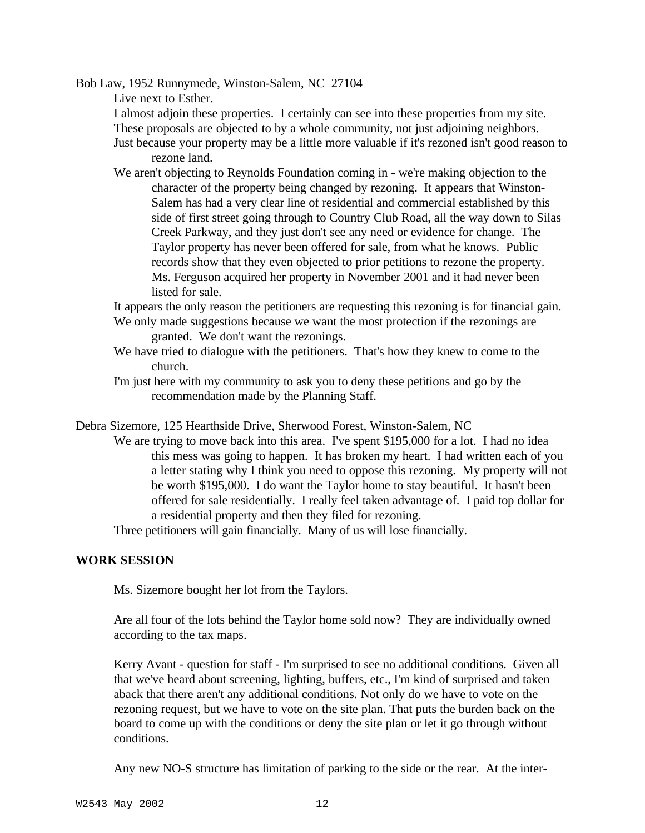Bob Law, 1952 Runnymede, Winston-Salem, NC 27104

Live next to Esther.

I almost adjoin these properties. I certainly can see into these properties from my site. These proposals are objected to by a whole community, not just adjoining neighbors.

Just because your property may be a little more valuable if it's rezoned isn't good reason to

rezone land.

We aren't objecting to Reynolds Foundation coming in - we're making objection to the character of the property being changed by rezoning. It appears that Winston-Salem has had a very clear line of residential and commercial established by this side of first street going through to Country Club Road, all the way down to Silas Creek Parkway, and they just don't see any need or evidence for change. The Taylor property has never been offered for sale, from what he knows. Public records show that they even objected to prior petitions to rezone the property. Ms. Ferguson acquired her property in November 2001 and it had never been listed for sale.

It appears the only reason the petitioners are requesting this rezoning is for financial gain. We only made suggestions because we want the most protection if the rezonings are

granted. We don't want the rezonings.

- We have tried to dialogue with the petitioners. That's how they knew to come to the church.
- I'm just here with my community to ask you to deny these petitions and go by the recommendation made by the Planning Staff.

Debra Sizemore, 125 Hearthside Drive, Sherwood Forest, Winston-Salem, NC

We are trying to move back into this area. I've spent \$195,000 for a lot. I had no idea this mess was going to happen. It has broken my heart. I had written each of you a letter stating why I think you need to oppose this rezoning. My property will not be worth \$195,000. I do want the Taylor home to stay beautiful. It hasn't been offered for sale residentially. I really feel taken advantage of. I paid top dollar for a residential property and then they filed for rezoning.

Three petitioners will gain financially. Many of us will lose financially.

## **WORK SESSION**

Ms. Sizemore bought her lot from the Taylors.

Are all four of the lots behind the Taylor home sold now? They are individually owned according to the tax maps.

Kerry Avant - question for staff - I'm surprised to see no additional conditions. Given all that we've heard about screening, lighting, buffers, etc., I'm kind of surprised and taken aback that there aren't any additional conditions. Not only do we have to vote on the rezoning request, but we have to vote on the site plan. That puts the burden back on the board to come up with the conditions or deny the site plan or let it go through without conditions.

Any new NO-S structure has limitation of parking to the side or the rear. At the inter-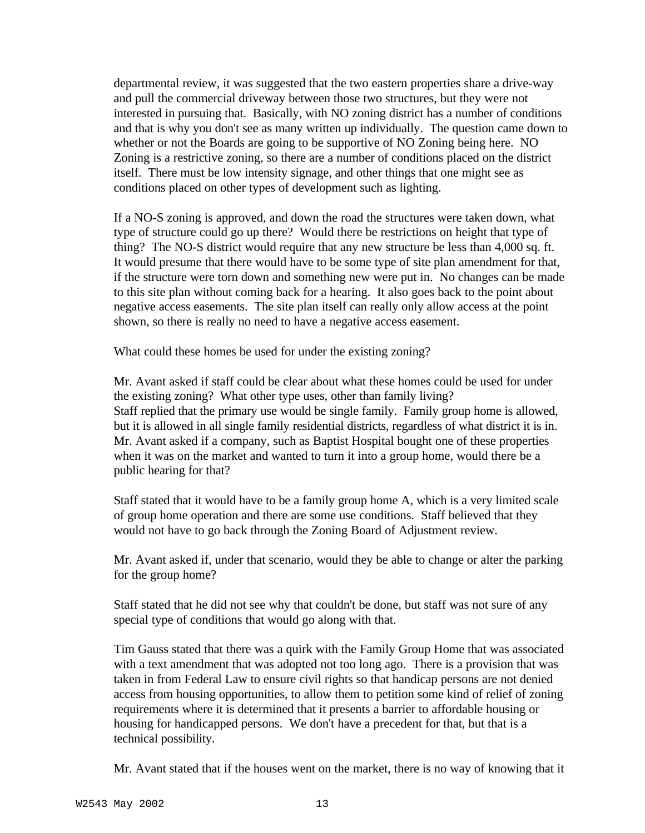departmental review, it was suggested that the two eastern properties share a drive-way and pull the commercial driveway between those two structures, but they were not interested in pursuing that. Basically, with NO zoning district has a number of conditions and that is why you don't see as many written up individually. The question came down to whether or not the Boards are going to be supportive of NO Zoning being here. NO Zoning is a restrictive zoning, so there are a number of conditions placed on the district itself. There must be low intensity signage, and other things that one might see as conditions placed on other types of development such as lighting.

If a NO-S zoning is approved, and down the road the structures were taken down, what type of structure could go up there? Would there be restrictions on height that type of thing? The NO-S district would require that any new structure be less than 4,000 sq. ft. It would presume that there would have to be some type of site plan amendment for that, if the structure were torn down and something new were put in. No changes can be made to this site plan without coming back for a hearing. It also goes back to the point about negative access easements. The site plan itself can really only allow access at the point shown, so there is really no need to have a negative access easement.

What could these homes be used for under the existing zoning?

Mr. Avant asked if staff could be clear about what these homes could be used for under the existing zoning? What other type uses, other than family living? Staff replied that the primary use would be single family. Family group home is allowed, but it is allowed in all single family residential districts, regardless of what district it is in. Mr. Avant asked if a company, such as Baptist Hospital bought one of these properties when it was on the market and wanted to turn it into a group home, would there be a public hearing for that?

Staff stated that it would have to be a family group home A, which is a very limited scale of group home operation and there are some use conditions. Staff believed that they would not have to go back through the Zoning Board of Adjustment review.

Mr. Avant asked if, under that scenario, would they be able to change or alter the parking for the group home?

Staff stated that he did not see why that couldn't be done, but staff was not sure of any special type of conditions that would go along with that.

Tim Gauss stated that there was a quirk with the Family Group Home that was associated with a text amendment that was adopted not too long ago. There is a provision that was taken in from Federal Law to ensure civil rights so that handicap persons are not denied access from housing opportunities, to allow them to petition some kind of relief of zoning requirements where it is determined that it presents a barrier to affordable housing or housing for handicapped persons. We don't have a precedent for that, but that is a technical possibility.

Mr. Avant stated that if the houses went on the market, there is no way of knowing that it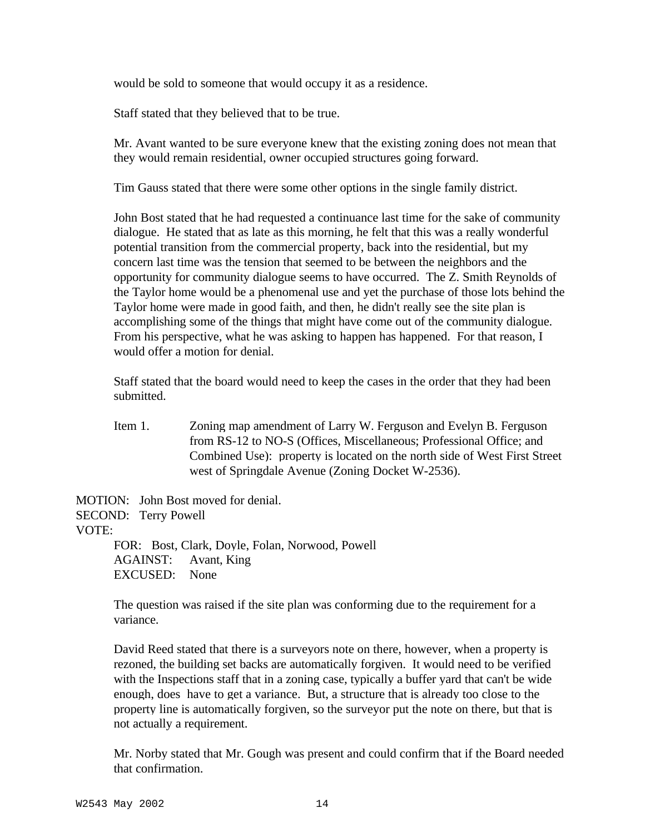would be sold to someone that would occupy it as a residence.

Staff stated that they believed that to be true.

Mr. Avant wanted to be sure everyone knew that the existing zoning does not mean that they would remain residential, owner occupied structures going forward.

Tim Gauss stated that there were some other options in the single family district.

John Bost stated that he had requested a continuance last time for the sake of community dialogue. He stated that as late as this morning, he felt that this was a really wonderful potential transition from the commercial property, back into the residential, but my concern last time was the tension that seemed to be between the neighbors and the opportunity for community dialogue seems to have occurred. The Z. Smith Reynolds of the Taylor home would be a phenomenal use and yet the purchase of those lots behind the Taylor home were made in good faith, and then, he didn't really see the site plan is accomplishing some of the things that might have come out of the community dialogue. From his perspective, what he was asking to happen has happened. For that reason, I would offer a motion for denial.

Staff stated that the board would need to keep the cases in the order that they had been submitted.

Item 1. Zoning map amendment of Larry W. Ferguson and Evelyn B. Ferguson from RS-12 to NO-S (Offices, Miscellaneous; Professional Office; and Combined Use): property is located on the north side of West First Street west of Springdale Avenue (Zoning Docket W-2536).

MOTION: John Bost moved for denial. SECOND: Terry Powell VOTE: FOR: Bost, Clark, Doyle, Folan, Norwood, Powell AGAINST: Avant, King

EXCUSED: None

The question was raised if the site plan was conforming due to the requirement for a variance.

David Reed stated that there is a surveyors note on there, however, when a property is rezoned, the building set backs are automatically forgiven. It would need to be verified with the Inspections staff that in a zoning case, typically a buffer yard that can't be wide enough, does have to get a variance. But, a structure that is already too close to the property line is automatically forgiven, so the surveyor put the note on there, but that is not actually a requirement.

Mr. Norby stated that Mr. Gough was present and could confirm that if the Board needed that confirmation.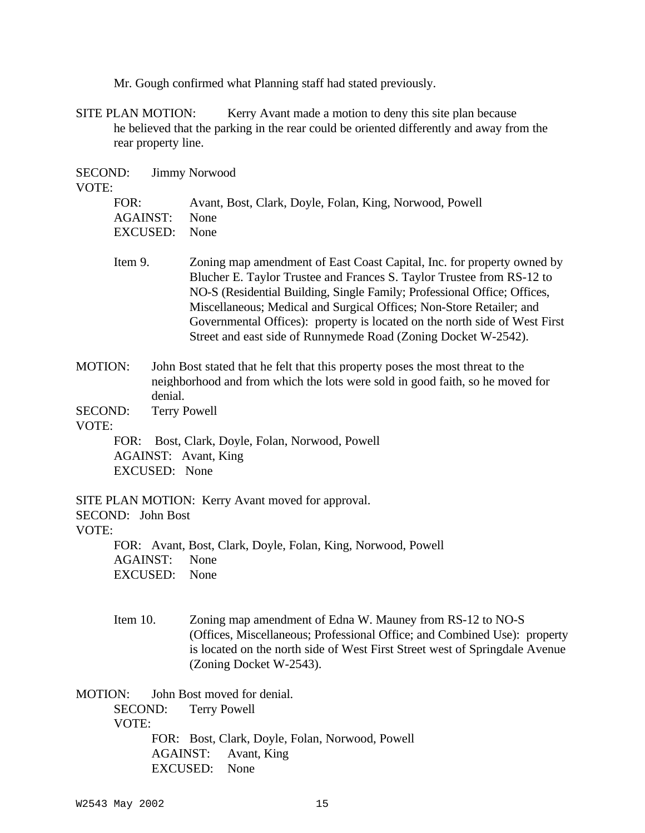Mr. Gough confirmed what Planning staff had stated previously.

SITE PLAN MOTION: Kerry Avant made a motion to deny this site plan because he believed that the parking in the rear could be oriented differently and away from the rear property line.

| SECOND:<br>VOTE:                                                                         | <b>Jimmy Norwood</b>               |                                                                                                                                                                                                                                                                                                                                                                                                                                                     |  |
|------------------------------------------------------------------------------------------|------------------------------------|-----------------------------------------------------------------------------------------------------------------------------------------------------------------------------------------------------------------------------------------------------------------------------------------------------------------------------------------------------------------------------------------------------------------------------------------------------|--|
| FOR:                                                                                     | <b>AGAINST:</b><br><b>EXCUSED:</b> | Avant, Bost, Clark, Doyle, Folan, King, Norwood, Powell<br>None<br>None                                                                                                                                                                                                                                                                                                                                                                             |  |
| Item 9.                                                                                  |                                    | Zoning map amendment of East Coast Capital, Inc. for property owned by<br>Blucher E. Taylor Trustee and Frances S. Taylor Trustee from RS-12 to<br>NO-S (Residential Building, Single Family; Professional Office; Offices,<br>Miscellaneous; Medical and Surgical Offices; Non-Store Retailer; and<br>Governmental Offices): property is located on the north side of West First<br>Street and east side of Runnymede Road (Zoning Docket W-2542). |  |
| MOTION:                                                                                  | denial.                            | John Bost stated that he felt that this property poses the most threat to the<br>neighborhood and from which the lots were sold in good faith, so he moved for                                                                                                                                                                                                                                                                                      |  |
| SECOND:<br>VOTE:                                                                         |                                    | <b>Terry Powell</b>                                                                                                                                                                                                                                                                                                                                                                                                                                 |  |
| FOR: Bost, Clark, Doyle, Folan, Norwood, Powell<br>AGAINST: Avant, King<br>EXCUSED: None |                                    |                                                                                                                                                                                                                                                                                                                                                                                                                                                     |  |
| SECOND: John Bost<br>VOTE:                                                               |                                    | SITE PLAN MOTION: Kerry Avant moved for approval.                                                                                                                                                                                                                                                                                                                                                                                                   |  |
|                                                                                          | <b>AGAINST:</b><br><b>EXCUSED:</b> | FOR: Avant, Bost, Clark, Doyle, Folan, King, Norwood, Powell<br>None<br>None                                                                                                                                                                                                                                                                                                                                                                        |  |
| Item 10.                                                                                 |                                    | Zoning map amendment of Edna W. Mauney from RS-12 to NO-S<br>(Offices, Miscellaneous; Professional Office; and Combined Use): property<br>is located on the north side of West First Street west of Springdale Avenue<br>(Zoning Docket W-2543).                                                                                                                                                                                                    |  |
| <b>MOTION:</b><br><b>SECOND:</b><br>VOTE:                                                |                                    | John Bost moved for denial.<br><b>Terry Powell</b>                                                                                                                                                                                                                                                                                                                                                                                                  |  |
|                                                                                          | AGAINST:                           | FOR: Bost, Clark, Doyle, Folan, Norwood, Powell<br>Avant, King                                                                                                                                                                                                                                                                                                                                                                                      |  |